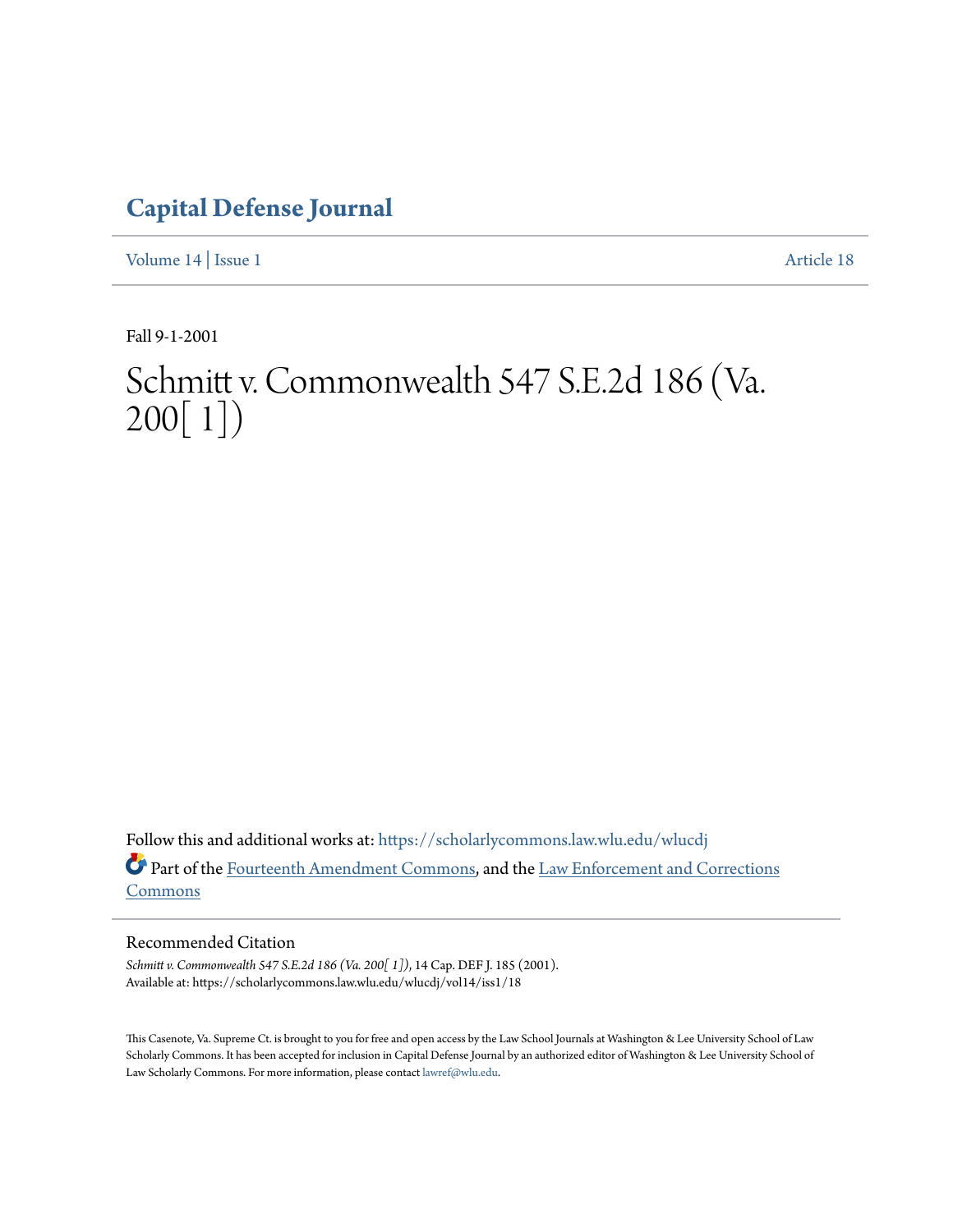# **[Capital Defense Journal](https://scholarlycommons.law.wlu.edu/wlucdj?utm_source=scholarlycommons.law.wlu.edu%2Fwlucdj%2Fvol14%2Fiss1%2F18&utm_medium=PDF&utm_campaign=PDFCoverPages)**

[Volume 14](https://scholarlycommons.law.wlu.edu/wlucdj/vol14?utm_source=scholarlycommons.law.wlu.edu%2Fwlucdj%2Fvol14%2Fiss1%2F18&utm_medium=PDF&utm_campaign=PDFCoverPages) | [Issue 1](https://scholarlycommons.law.wlu.edu/wlucdj/vol14/iss1?utm_source=scholarlycommons.law.wlu.edu%2Fwlucdj%2Fvol14%2Fiss1%2F18&utm_medium=PDF&utm_campaign=PDFCoverPages) [Article 18](https://scholarlycommons.law.wlu.edu/wlucdj/vol14/iss1/18?utm_source=scholarlycommons.law.wlu.edu%2Fwlucdj%2Fvol14%2Fiss1%2F18&utm_medium=PDF&utm_campaign=PDFCoverPages)

Fall 9-1-2001

# Schmitt v. Commonwealth 547 S.E.2d 186 (Va. 200[ 1])

Follow this and additional works at: [https://scholarlycommons.law.wlu.edu/wlucdj](https://scholarlycommons.law.wlu.edu/wlucdj?utm_source=scholarlycommons.law.wlu.edu%2Fwlucdj%2Fvol14%2Fiss1%2F18&utm_medium=PDF&utm_campaign=PDFCoverPages) Part of the [Fourteenth Amendment Commons,](http://network.bepress.com/hgg/discipline/1116?utm_source=scholarlycommons.law.wlu.edu%2Fwlucdj%2Fvol14%2Fiss1%2F18&utm_medium=PDF&utm_campaign=PDFCoverPages) and the [Law Enforcement and Corrections](http://network.bepress.com/hgg/discipline/854?utm_source=scholarlycommons.law.wlu.edu%2Fwlucdj%2Fvol14%2Fiss1%2F18&utm_medium=PDF&utm_campaign=PDFCoverPages) [Commons](http://network.bepress.com/hgg/discipline/854?utm_source=scholarlycommons.law.wlu.edu%2Fwlucdj%2Fvol14%2Fiss1%2F18&utm_medium=PDF&utm_campaign=PDFCoverPages)

# Recommended Citation

*Schmitt v. Commonwealth 547 S.E.2d 186 (Va. 200[ 1])*, 14 Cap. DEF J. 185 (2001). Available at: https://scholarlycommons.law.wlu.edu/wlucdj/vol14/iss1/18

This Casenote, Va. Supreme Ct. is brought to you for free and open access by the Law School Journals at Washington & Lee University School of Law Scholarly Commons. It has been accepted for inclusion in Capital Defense Journal by an authorized editor of Washington & Lee University School of Law Scholarly Commons. For more information, please contact [lawref@wlu.edu.](mailto:lawref@wlu.edu)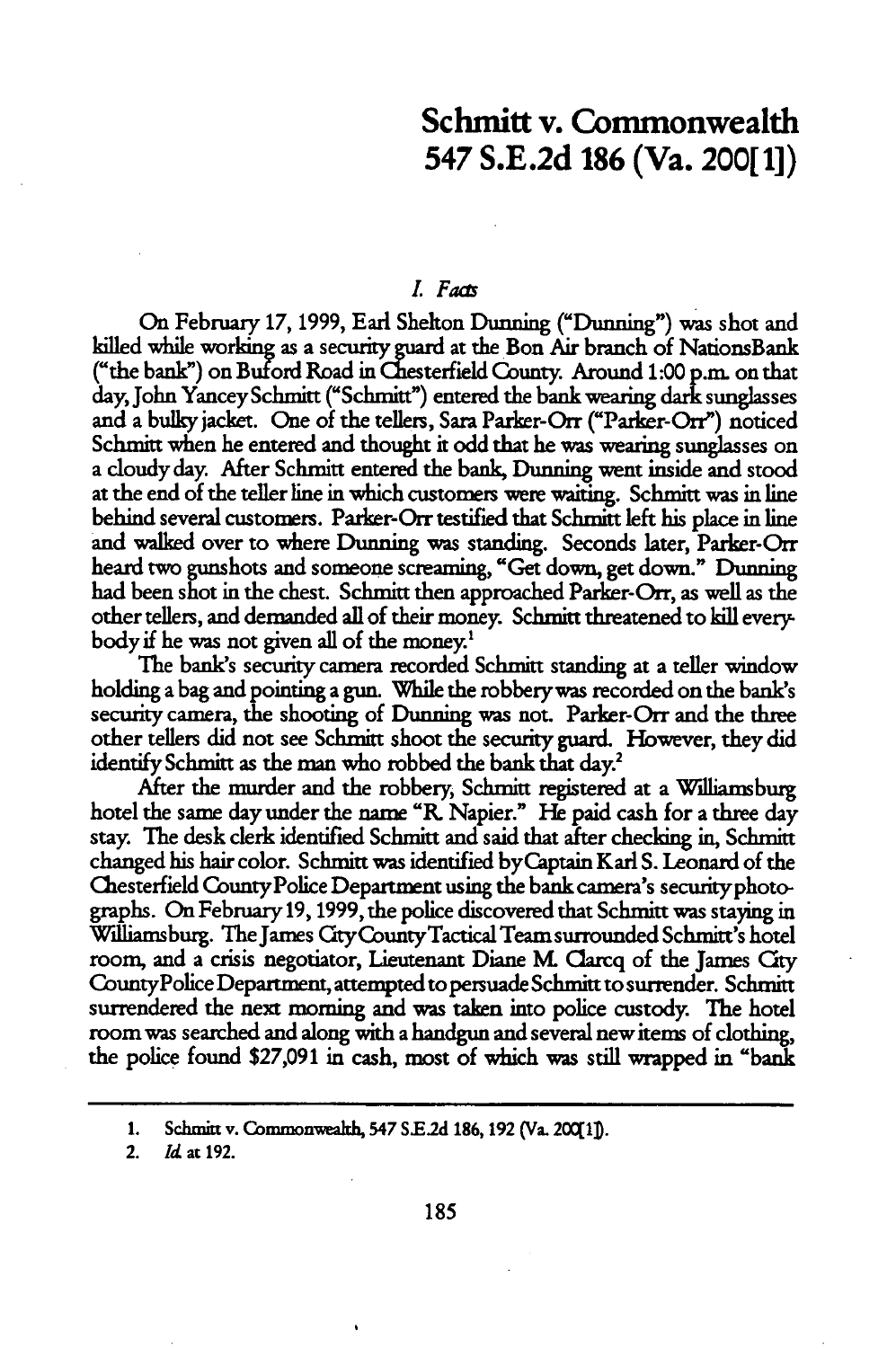# Schmitt v. Commonwealth 547 **S.E.2d 186** (Va. 200[ **1])**

### *. Fao*

On February **17,1999,** Earl Shelton Dunning ("Dunning") was shot and killed while working as a security guard at the Bon Air branch of NationsBank ("the bank") on Buford Road in Chesterfield County. Around 1:00 p.m. on that day, John Yancey Schmitt ("Schmitt") entered the bank wearing dark sunglasses and a bulky jacket. One of the tellers, Sara Parker-Orr ("Parker-Orr") noticed Schmitt when he entered and thought it odd that he was wearing sunglasses on a doudy day. After Schmitt entered the bank, Dunning went inside and stood at the end of the teller line in which customers were waiting. Schmitt was in line behind several customers. Parker-Orr testified that Schmitt left his place in line and walked over to where Dunning was standing. Seconds later, Parker-Orr heard two gunshots and someone screaming, "Get down, get down." Dunning had been shot in the chest. Schmitt then approached Parker-Orr, as well as the other tellers, and demanded all of their money. Schmitt threatened to kill everybodyif he was not given all of the money.'

The bank's security camera recorded Schmitt standing at a teller window holding a bag and pointing a gun. While the robberywas recorded on the bank's security camera, the shooting of Dunning was not. Parker-Orr and the three other tellers did not see Schmitt shoot the security guard. However, they did identify Schmitt as the man who robbed the bank that day.'

After the murder and the robbery, Schmitt registered at a Williamsburg hotel the same day under the name **"R.** Napier." **He** paid cash for a three day stay. The desk clerk identified Schmitt and said that after checking in, Schmitt changed his hair color. Schmitt was identified byCaptain Karl S. Leonard of the Chesterfield CountyPolice Department using the bank camera's securityphotographs. On February 19, 1999, the police discovered that Schmitt was staying in Williamsburg. The James CtyCountyTactical Team surrounded Schmitt's hotel room, and a crisis negotiator, Lieutenant Diane **M** Clarcq of the James City CountyPolice Department, attempted to persuade Schmitt to surrender. Schmitt surrendered the next morning and was taken into police custody. The hotel room was searched and along with a handgun and several new items of clothing, the police found \$27,091 in cash, most of which was still wrapped in "bank

<sup>1.</sup> Schmitt v. Commonwealth, 547 S.E.2d 186, 192 (Va. 20011).

<sup>2.</sup> *Id* at 192.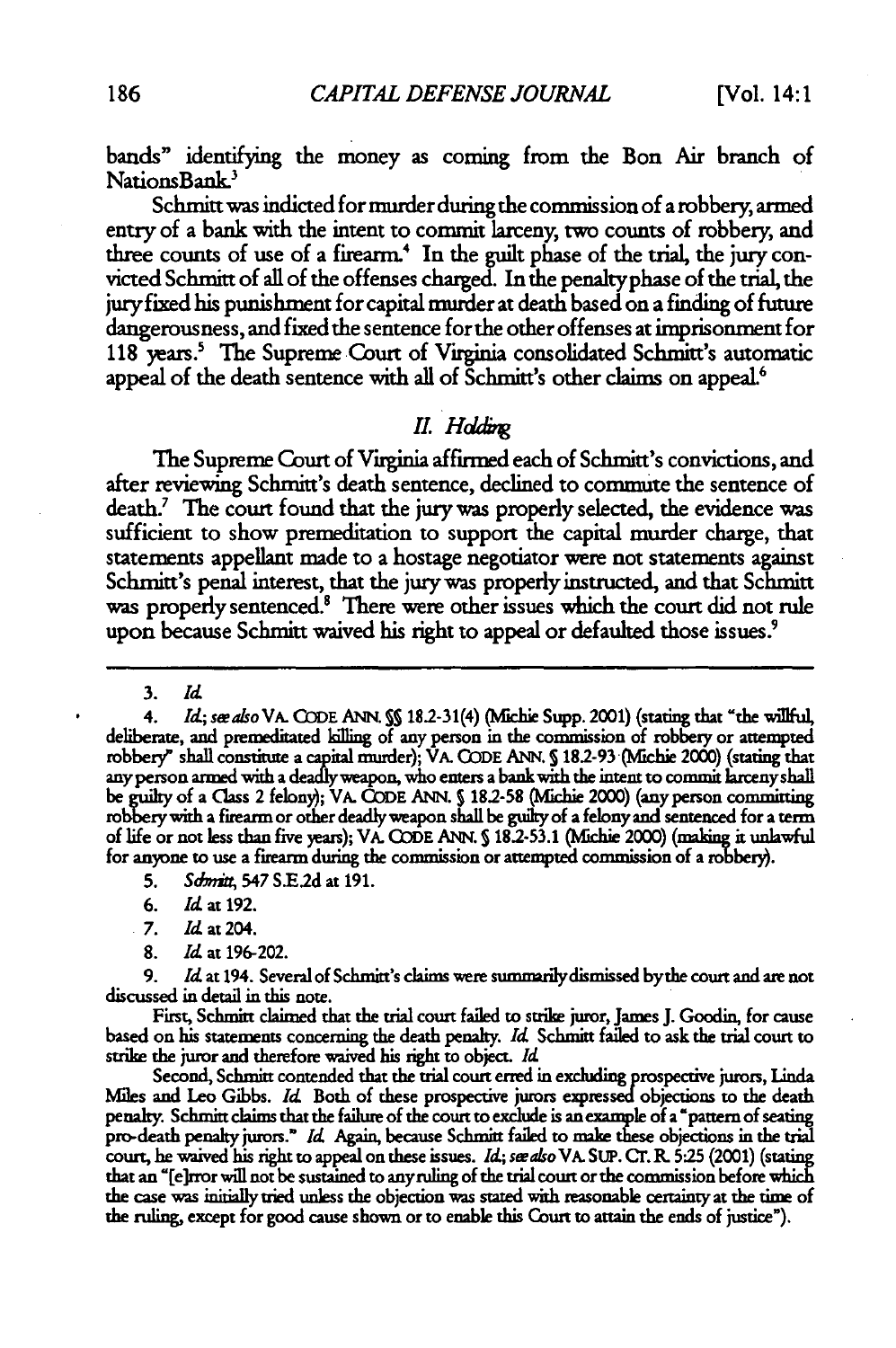bands" identifying the money as coming from the Bon Air branch **of** NationsBank.'

Schmitt was indicted for murder during the commission of a robbery, armed entry of a bank with the intent to commit larceny, two counts of robbery, and three counts of use of a firearm.' In the guilt phase of the trial, the jury convicted Schmitt of all of the offenses charged. In the penaltyphase of the trial, the jury fixed his punishment for capital murder at death based on a finding of future dangerousness, and fixed the sentence for the other offenses at imprisonment for 118 years.<sup>5</sup> The Supreme Court of Virginia consolidated Schmitt's automatic appeal of the death sentence with all of Schmitt's other claims on appeal.'

# *11 Hdd.*

The Supreme Court of Virginia affirmed each of Schmitt's convictions, and after reviewing Schmitt's death sentence, declined to commute the sentence of death.<sup>7</sup> The court found that the jury was properly selected, the evidence was sufficient to show premeditation to support the capital murder charge, that statements appellant made to a hostage negotiator were not statements against Schmitt's penal interest, that the jury was properly instructed, and that Schmitt was properly sentenced.<sup>8</sup> There were other issues which the court did not rule upon because Schmitt waived his right to appeal or defaulted those issues.<sup>9</sup>

3. *Id*

4. *Id;* sealso VA. GODE ANN. **S** 18.2-31(4) (Mchie Supp. 2001) (stating that "the willful, deliberate, and premeditated killing of any person in the commission of robbery or attempted robbery" shall constitute a capital murder); VA. CODE ANN. § 18.2-93 (Michie 2000) (stating that any person armed with a deadlyweapon, who enters a bank with the intent to commit larceny shall be guilty of a Class 2 felony); VA. **CODE** ANN. **5182-58** (Mlchie 2000) (any person committing robbery with a firearm or other deadly weapon shall be guilty of a felony **and** sentenced for a term of life or not less than five years); VA. **CODE ANN. S** 18.-53.1 (Mfichie 2000) (making it unlawful for anyone to use a firearm during the commission or attempted commission of a robbery).

- **7.** Id at 204.
- 8. **Id** at 196-202.

9. *Id* at 194. Several of Schmitt's claims were summanlydismissed bythe court and are not discussed in detail in this note.

First, Schmitt claimed that the trial court failed to strike juror, James J. Goodin, for cause based on his statements concerning the death penalty. *Id* Schmitt failed to ask the trial court to strike the juror and therefore waived his right to object. *Id*

Second, Schmitt contended that the trial court **erred in** excluding prospective jurors, Linda Miles and Leo Gibbs. *Id* Both of these prospective jurors expressed objctions to the death penalty. Schmitt claims that the failure of the court to exclude is an example of a 'pattern of seating pro-death penalty jurors." *Id* Again, because Schmitt failed to make these objections in the trial court, he waived his right to appeal on these issues. *Id;* swa/so VA. SUP. Cr. **R. 5:25** (2001) (stating that an '[e]rror will not be sustained to anyruling of the trial court or the commission before which the case was intially tried unless the objection was stated with reasonable certainty at the time of the ruling, except for good cause shown or to enable this Court **to** attain the ends of justice").

**<sup>5.</sup>** *Sdc t* 547 S.E2d at **191.**

**<sup>6.</sup>** *Id* at 192.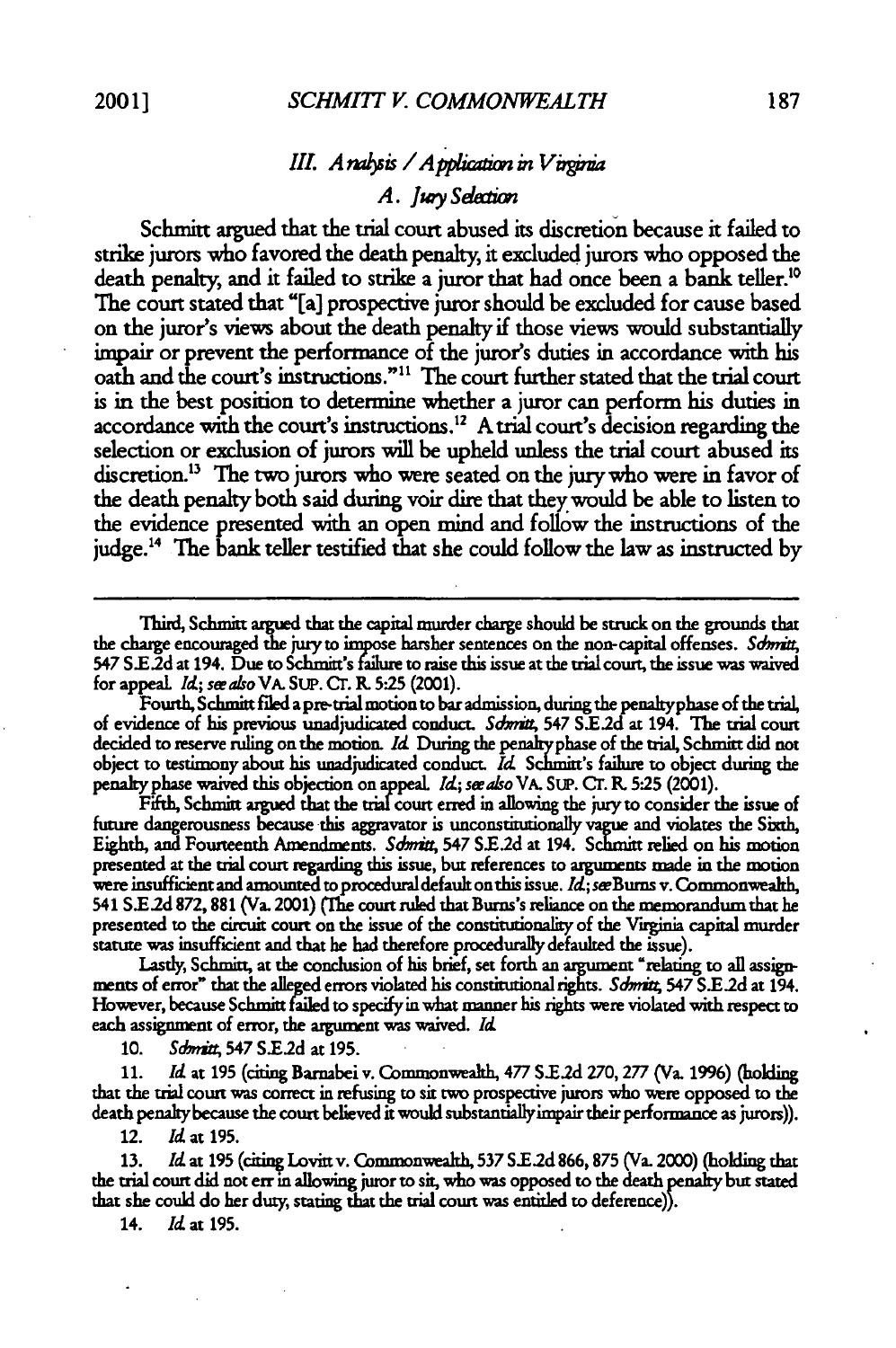# *III. A rabsis / A pplication in Virginia A. Jty Sdeaion*

Schmitt argued that the trial court abused its discretion because it failed to strike jurors who favored the death penalty, it excluded jurors who opposed the death penalty, and it failed to strike a juror that had once been a bank teller."0 The court stated that "[a] prospective juror should be excluded for cause based on the juror's views about the death penalty if those views would substantially impair or prevent the performance of the juror's duties in accordance with his oath and the court's instructions."<sup>11</sup> The court further stated that the trial court is in the best position to determine whether a juror can perform his duties in accordance with the court's instructions.<sup>12</sup> A trial court's decision regarding the selection or exclusion of jurors will be upheld unless the trial court abused its discretion.<sup>13</sup> The two jurors who were seated on the jury who were in favor of the death penalty both said during voir dire that they would be able to listen to the evidence presented with an open mind and follow the instructions of the judge.<sup>14</sup> The bank teller testified that she could follow the law as instructed by

Fifth, Schmitt argued that the trial court **erred** in allowing the juryto consider the issue of future dangerousness because this aggravator **is** unconstitutionally **vague** and violates the Sixth, Eighth, and Fourteenth Amendments. Schmitt, 547 S.E.2d at 194. Schmitt relied on his motion presented at the trial court regarding this issue, but references to arguments made in the motion were insufficient and amounted to procedural default on this issue. Id; see Burns v. Commonwealth, 541 **SE.2d** 872,881 (Va. 2001) (Mhe court ruled that Burns's reliance on the memorandum that he presented to the circuit court on the issue of the constitutionality of the Virginia capital murder statute was insufficient and that he had therefore procedurally defaulted the issue).

Lastly, Schmitt, at the conclusion of his brief, set forth an argument "relating to all assignnents of error" that the alleged errors violated his conutionalrights. *Sdmitt* 547 **S.E2d at** 194. However, because Schmitt failed to specifyin what manner his rights were violated with respect **to** each assignment of error, the argument was waived. *l*

**10.** *Sdmit4* 547 **S.E2d** at 195.

11. *Id* at **195** (citing Bamabei v. Commonwealth, *477* **S.E2d 270, 277** (Va. 1996) (holding that the trial court was correct in refusing **to** sit two prospective jurors who were opposed to the death penalty because the court believed it would substantiallyimpair their performance as jurors)).

12. Id at **195.**

**13.** *Id. at* **195** (citing Lovittv. Commonwealh, **537** S.E.2d **866,875** (Va. 2000) (holding that the trial court did not err in allowing juror **to** sit, who was opposed **to** the death penalty but stated that she could do her duty, stating that the trial court was entitled to deference)).

14. *Idat* **195.**

Third, Schmitt argued that the capital murder charge should be struck on the grounds that the charge encouraged the jury to impose harsher sentences on the non-capital offenses. Schmitt, 547 S.E.2d at 194. Due to Schmitt's failure to raise this issue at the trial court, the issue was waived for appeal. *Id; see also* VA. SUP. CT. R. 5:25 (2001).

Fourth, Schmitt filed a pre-trial motion to bar admission, during thepenaltyphase of the trial, of evidence of his previous unadjudicated conduct. *Sdmx* 547 **S.E2d** at 194. The trial court decided to reserve ruling on the motion. *Id* During the penalty phase of the trial, Schmitt did not object to testimony about his unadjudicated conduct *Id* Schmitt's failure to object during the penaltyphase waived this objection on appeal. *d; seealsoVA.* SLP. **Cr.** . 5:25 (2001).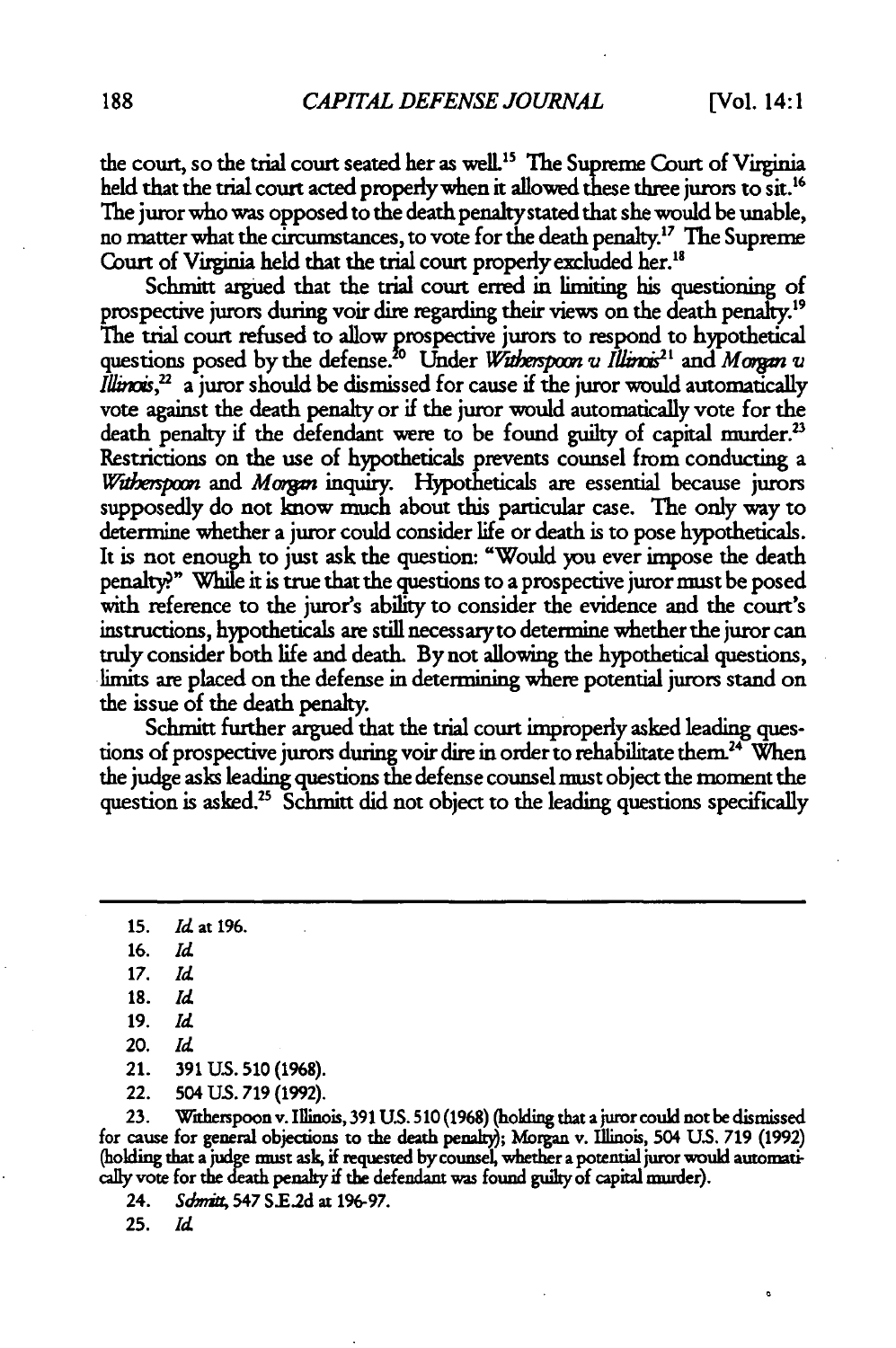the court, so the trial court seated her as well.<sup>15</sup> The Supreme Court of Virginia held that the trial court acted properly when it allowed these three jurors to sit.<sup>16</sup> The juror who was opposed to the death penaltystated that she would be unable, no matter what the circumstances, to vote for the death penalty.<sup>17</sup> The Supreme Court of Virginia held that the trial court properly excluded her.<sup>18</sup>

Schmitt argued that the trial court erred in limiting his questioning of prospective jurors during voir dire regarding their views on the death penalty.<sup>19</sup> The trial court refused to allow prospective jurors to respond to hypothetical questions posed by the defense.<sup>20</sup> Under *Witherspoon u Illinois*<sup>21</sup> and *Morgan u Illinois*,<sup>22</sup> a juror should be dismissed for cause if the juror would automatically vote against the death penalty or if the juror would automatically vote for the death penalty if the defendant were to be found guilty of capital murder.<sup>2</sup> Restrictions on the use of hypotheticals prevents counsel from conducting a *Witherspoon* and *Morgan* inquiry. Hypotheticals are essential because jurors supposedly do not know much about this particular case. The only way to determine whether a juror could consider life or death is to pose hypotheticals. It is not enough to just ask the question: "Would **you** ever impose the death penalty?" While it is true that the questions to a prospective juror **must** be posed with reference to the juror's ability to consider the evidence and the court's instructions, hypotheticals are still necessaryto determine whether the juror can truly consider both life and death. **By** not allowing the hypothetical questions, limits are placed on the defense in determining where potential jurors stand on the issue of the death penalty.

Schmitt further argued that the trial court improperly asked leading questions of prospective jurors during voir dire in order to rehabilitate them.<sup>24</sup> When the judge asks leading questions the defense counsel must object the moment the question is asked.<sup>25</sup> Schmitt did not object to the leading questions specifically

**23.** Witherspoon v. Illinois, **391 US. 510 (1968)** (holding that a juror could not be dismissed for cause for general objections to the death penahl); Morgan v. Illinois, 504 **US. 719** (1992) (holding that a judge must ask, if requested **by** counsel, whether a potential juror would autornaticaly vote for the death penalty if the defendant was found guilty of capital murder).

24. *Sdmia* 547 **SE.2d** at **196-97.**

**<sup>15.</sup>** *Id* at **196.**

**<sup>16.</sup>** *Id*

*<sup>17.</sup> Id*

**<sup>18.</sup>** *Id*

**<sup>19.</sup>** *Id*

<sup>20.</sup> *Id*

<sup>21.</sup> **391 US. 510 (1968).**

<sup>22. 504</sup> **US.** 719 (1992).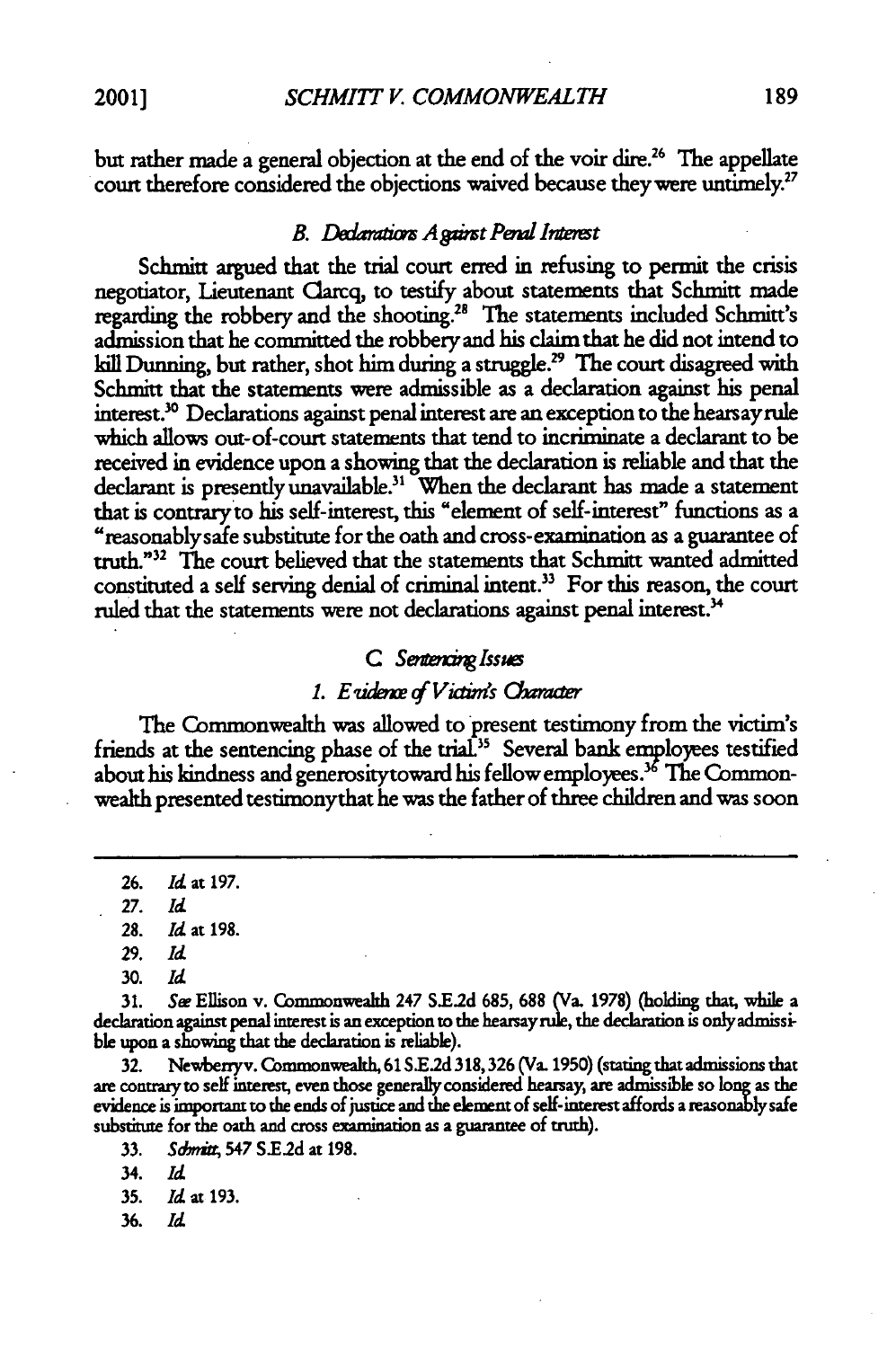but rather made a general objection at the end of the voir dire.<sup>26</sup> The appellate court therefore considered the objections waived because they were untimely.<sup>27</sup>

# *B.* Dedarations Against Penal Interest

Schmitt argued that the trial court erred in refusing to permit the crisis negotiator, Lieutenant Clarq, to testify about statements that Schmitt made regarding the robbery and the shooting.<sup>28</sup> The statements included Schmitt's admission that he committed the robbery and his claim that he did not intend to kill Dunning, but rather, shot him during a struggle.<sup>29</sup> The court disagreed with Schmitt that the statements were admissible as a declaration against his penal interest.30 Declarations against penal interest are an exception to the hearsayrule which allows out-of-court statements that tend to incriminate a declaramt to be received in evidence upon a showing that the declaration is reliable and that the declarant is presently unavailable.<sup>31</sup> When the declarant has made a statement that is contraryto his self-interest, this "element of self-interest" functions as a "reasonablysafe substitute for the oath and cross-examination as a guarantee of truth."<sup>32</sup> The court believed that the statements that Schmitt wanted admitted constituted a self serving denial of criminal intent.<sup>33</sup> For this reason, the court ruled that the statements were not declarations against penal interest.<sup>34</sup>

### **C** *Sentencing Issues*

#### *1. E tidaxe f Viainds 06wrar*

The Commonwealth was allowed to present testimony from the victim's friends at the sentencing phase of the trial.<sup>35</sup> Several bank employees testified about his kindness and generosity toward his fellow employees.<sup>36</sup> The Commonwealth presented testimonythat he was the father of three children and **was** soon

31. Se Ellison v. Commonwealth 247 **SE2.2d** 685, 688 (Va. 1978) (holding that, while a declaration against penal interest is an exception to the hearsaynrle, the declaration is only admissible upon a showing that the declaration is reliable).

**32.** Newberryv. Commonwealth, 61 **S.E.2d** 318, **326** (Va. 1950) (stating that admissions that are contrary to self interest, even those generally considered hearsay, are admissible **so long** as the evidence is important to the ends of justice and the element of self-interest affords a reasonably safe substitute for the oath and cross examination as a guarantee of truth).

**33.** *Sdmia,* 547 S.E.2d at 198.

**35.** *Id* at 193.

**<sup>26.</sup>** *Id* at 197.

**<sup>27.</sup>** *Id*

<sup>28.</sup> *Id* at 198.

<sup>29.</sup> *Id*

**<sup>30.</sup>** *Id*

<sup>34.</sup> *Id*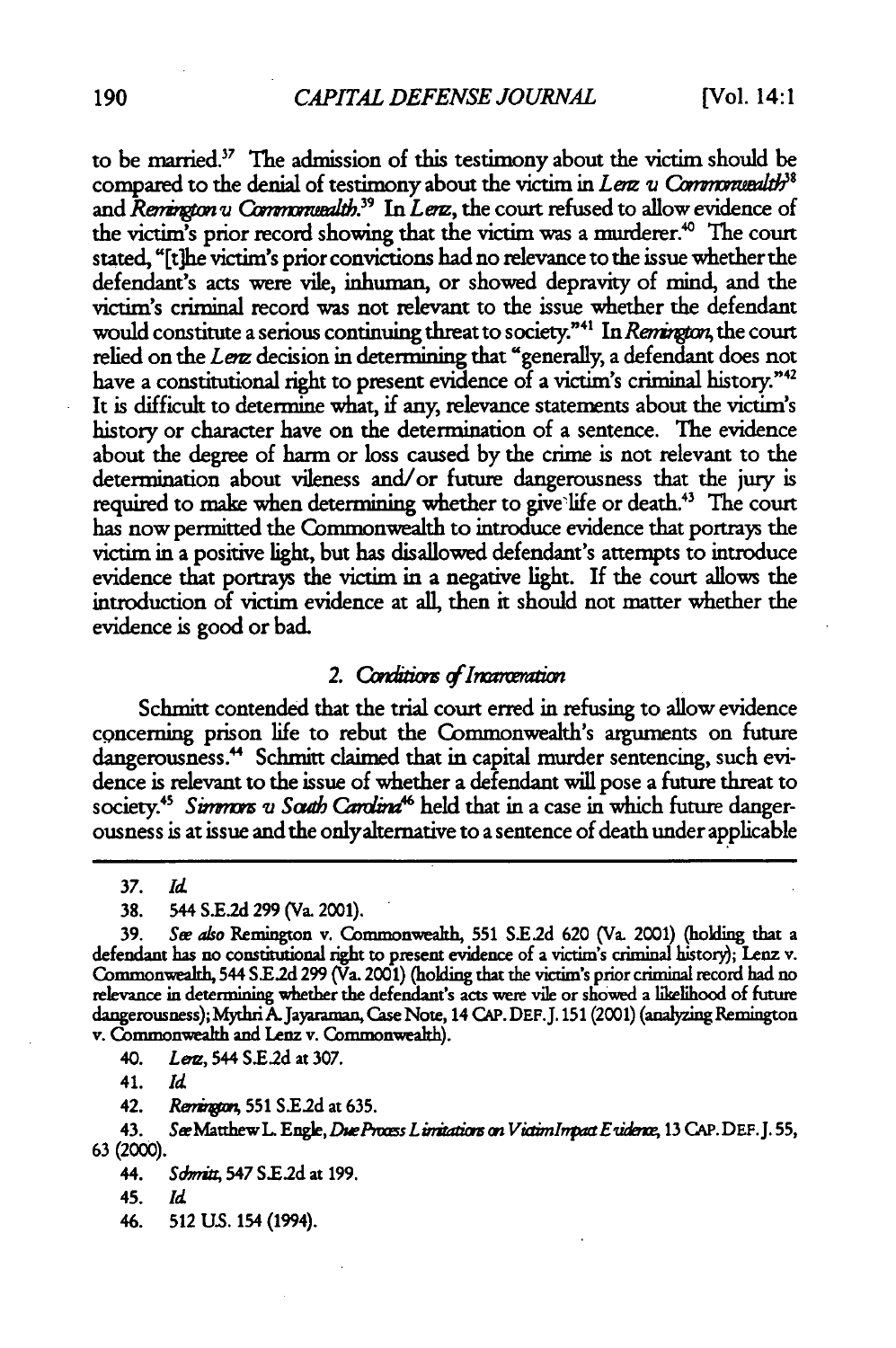to be married. <sup>7</sup>**The** admission of this testimony about the victim should be compared to the denial of testimony about the victim in *Lenz v Commonwealth*<sup>38</sup> and *Remington v Commonwealth*.<sup>39</sup> In *Lenz*, the court refused to allow evidence of the victim's prior record showing that the victim was a murderer.'° The court stated, "[t]he victim's prior convictions had no relevance to the issue whether the defendant's acts were vile, inhuman, or showed depravity of mind, and the victim's criminal record was not relevant to the issue whether the defendant would constitute a serious continuing threat to society."<sup>41</sup> In *Remington*, the court relied on the *Lenz* decision in determining that "generally, a defendant does not have a constitutional right to present evidence of a victim's criminal history."<sup>42</sup> It is difficult to determine what, if any, relevance statements about the victim's history or character have on the determination of a sentence. The evidence about the degree of harm or loss caused by the crime is not relevant to the determination about vileness and/or future dangerousness that the jury is required to make when determining whether to give life or death.<sup>43</sup> The court has now permitted the Commonwealth to introduce evidence that portrays the victim in a positive light, but has disallowed defendant's attempts to introduce evidence that portrays the victim in a negative light. If the court allows the introduction of victim evidence at all, then it should not matter whether the evidence is good or bad.

# 2. Conditions of Incanceration

Schmitt contended that the trial court erred in refusing to allow evidence concerning prison life to rebut the Commonwealth's arguments on future dangerousness.<sup>44</sup> Schmitt claimed that in capital murder sentencing, such evidence is relevant to the issue of whether a defendant will pose a future threat to society.<sup>45</sup> Simmors u South Carolina<sup>46</sup> held that in a case in which future dangerousness is at issue and the onlyaltemative to a sentence of death under applicable

**37.** *Id*

**38.** 544 **S.E.2d 299** (Va. 2001).

**39.** *Se also* Remington v. Commonwealth, 551 **S.E2d** 620 (Va. 2001) (holding that a defendant has no constitutional right to present evidence of a victim's criminal history); Lenz v. Commonwealth, 544 **SE.2d 299** (Va. 2001) (holding that the victim's prior criminal record **had** no relevance in determining whether the defendant's acts were vile or showed a likelihood of future dangerousness); MythriA.Jayaraman, Case Note, 14 CAP. DEF.J. 151(2001) (analyzing Remington v. Commonwealth and Lenz v. Commonwealth).

40. *Lim,* 544 **S.E2d** at **307.**

41. *Id*

42. *Rvi"* **551 S.E2d** at **635.**

43. See Matthew L. Engle, *Due Proces Limitations on Victim Impact E vidence*, 13 CAP. DEF. J. 55, **63 (2000).**

46. **512 US.** 154 (1994).

<sup>44.</sup> *Sdmi* 547 **S1.2d** at 199.

<sup>45.</sup> *id*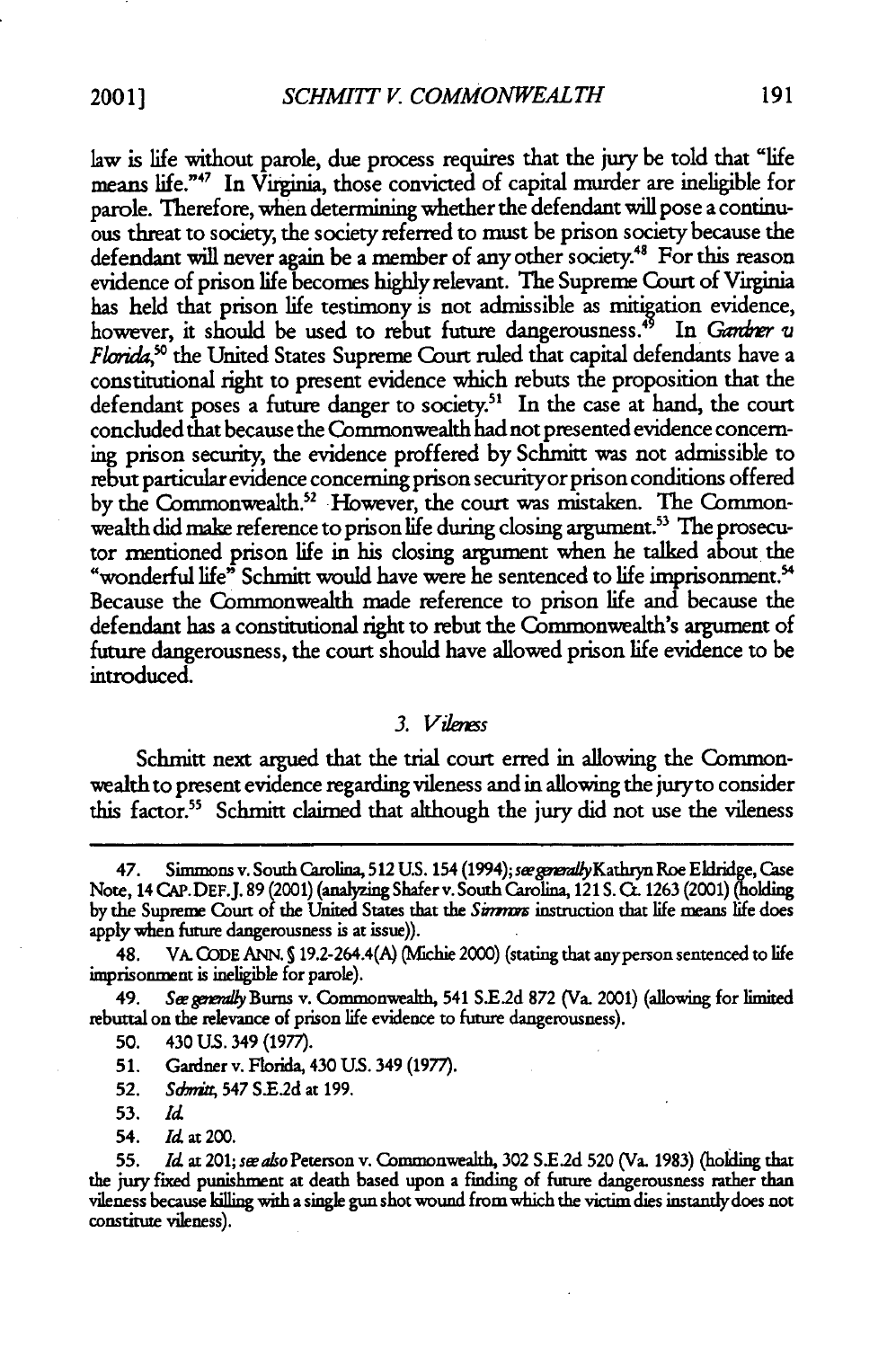law is life without parole, due process requires that the jury be told that "life means life."47 In Virginia, those convicted of capital murder are ineligible for parole. Therefore, when determining whether the defendant will pose a continuous threat to society, the society referred to must be prison society because the defendant will never again be a member of any other society.<sup>48</sup> For this reason evidence of prison life becomes highly relevant. The Supreme Court of Virginia has held that prison life testimony is not admissible as mitigation evidence, however, it should be used to rebut future dangerousness.<sup>45</sup> In *Ganbrer v Florida*,<sup>50</sup> the United States Supreme Court ruled that capital defendants have a constitutional right to present evidence which rebuts the proposition that the defendant poses a future danger to society.<sup>51</sup> In the case at hand, the court concluded that because the Commonwealth had not presented evidence concerning prison security, the evidence proffered by Schmitt was not admissible to rebut particular evidence concerning prison securityor prison conditions offered by the Commonwealth.52 However, the court was mistaken. *The* Commonwealth did make reference to prison life during closing argument.<sup>53</sup> The prosecutor mentioned prison life in his closing argument when he talked about the "wonderful life" Schmitt would have were he sentenced to life imprisonment.<sup>54</sup> Because the Commonwealth made reference to prison life and because the defendant has a constitutional right to rebut the Commonwealth's argument of future dangerousness, the court should have allowed prison life evidence to be introduced.

#### *3. Vilenes*

Schmitt next argued that the trial court erred in allowing the Commonwealth to present evidence regarding vileness and in allowing the juryto consider this factor.<sup>55</sup> Schmitt claimed that although the jury did not use the vileness

49. *Swgnady* Burns v. Commonwealth, 541 **S.E.2d 872** (Va. 2001) (allowing for limited rebuttal on the relevance of prison life evidence to future dangerousness).

- **50.** 430 **U.S.** 349 (1977).
- **51.** Gardner v. Florida, 430 US. 349 (1977).

52. *Sdmitt*, 547 S.E.2d at 199.

- 53. *Id*
- 54. *Id* at 200.

**55.** *Id* at 201; *sw also* Peterson v. Commonwealth, 302 **SE.2d 520** (Va. **1983)** (holding that the jury fixed punishment at death based upon a finding of future dangerousness rather than vileness because killing with a single gun shot wound from which the victim dies instantlydoes not constitute vileness).

<sup>47.</sup> Simmons v. South Carolina, **512** U.S. 154 (1994); seegwmyKathryn Roe Eldridge, Case Note, 14 **CAP. DEF.J. 89** (2001) (analyzing Shafer v. South Carolina, 121 **S. C. 1263** (2001) (holding by the Supreme Court of the United States that the Simmors instruction that life means life does apply when future dangerousness is at issue)).

<sup>48.</sup> VA. **CODE** ANN. **S** 19.2-264.4(A) (Mfichie 2000) (stating that anyperson sentenced to life imprisonment is ineligible for parole).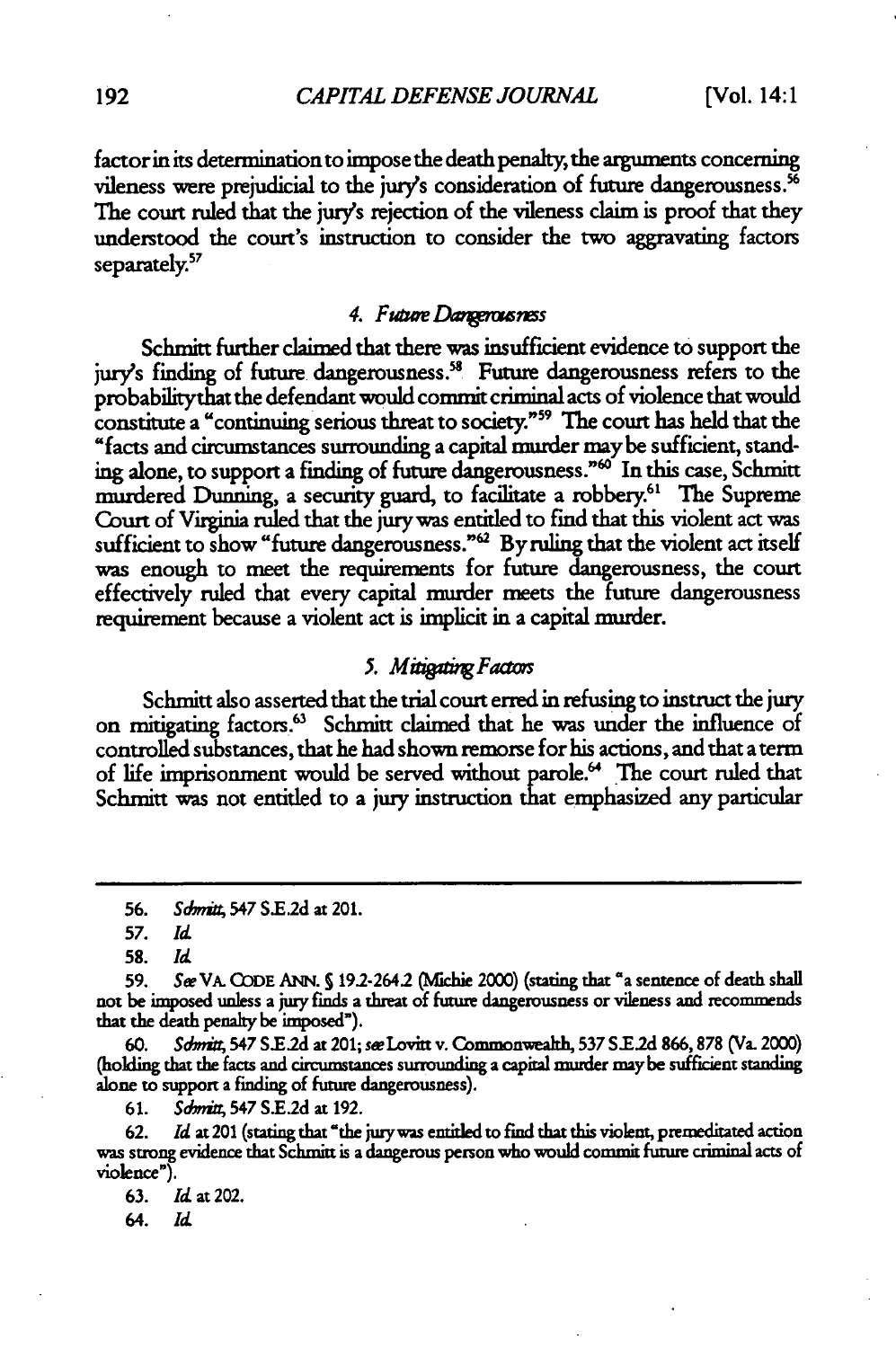factor in its determination to impose the death penalty, the arguments concerning vileness were prejudicial to the jury's consideration of future dangerousness.<sup>56</sup> The court ruled that the jury's rejection of the vileness claim is proof that they understood the court's instruction to consider the two aggravating factors separately.<sup>57</sup>

#### 4. *Future Dangerousness*

Schmitt further claimed that there was insufficient evidence to support the jury's finding of future dangerousness.<sup>58</sup> Future dangerousness refers to the probabilitythat the defendant would commit criminal acts of violence that would constitute a "continuing serious threat to society."" **The** court has held that the "facts and circumstances surrounding a capital murder maybe sufficient, standing alone, to support a finding of future dangerousness."<sup>60</sup> In this case, Schmitt murdered Dunning, a security guard, to facilitate a robbery.<sup>61</sup> The Supreme Court of Virginia ruled that the jury was entitled to find that this violent act was sufficient to show "future dangerousness."<sup>62</sup> By ruling that the violent act itself was enough to meet the requirements for future dangerousness, the court effectively ruled that every capital murder meets the future dangerousness requirement because a violent act is implicit in a capital murder.

### 5. Mitigating Factors

Schmitt also asserted that the trial court erred in refusing to instruct the **jury** on mitigating factors.<sup>63</sup> Schmitt claimed that he was under the influence of controlled substances, that he had shown remorse for his actions, and that a term of life imprisonment would be served without parole.<sup>64</sup> The court ruled that Schmitt was not entitled to a jury instruction that emphasized any particular

60. Sdmit 547 S.E.2d at 201; **see** Lovitt v. Commonweath, **537 SE.2d** 866,878 (Va. 2000) (holding that the facts and circumstances surrounding a capital murder maybe sufficient standing alone to support a fiading of future dangerousness).

**61.** *Sdm,* 547 **SE.d** at 192.

**62.** *Id* **at** 201 (stating that 'the jurywas entitled to find that this violent, premeditated action was strong evidence that Schmitt is a dangerous person who would commit future criminal acts of violence").

**<sup>56.</sup>** *Sdndi,* 547 S.E.2d at 201.

**<sup>57.</sup>** *Id*

**<sup>58.</sup>** *Id*

**<sup>59.</sup>** *See* VA. **CODE ANN.** S 19.2-2642 (Miclie 2000) (stating **that** "a sentence of death shall not be imposed unless a jury finds a threat of future dangerousness or vileness and recommends that the death penalty be imposed").

**<sup>63.</sup>** *Id* at 202.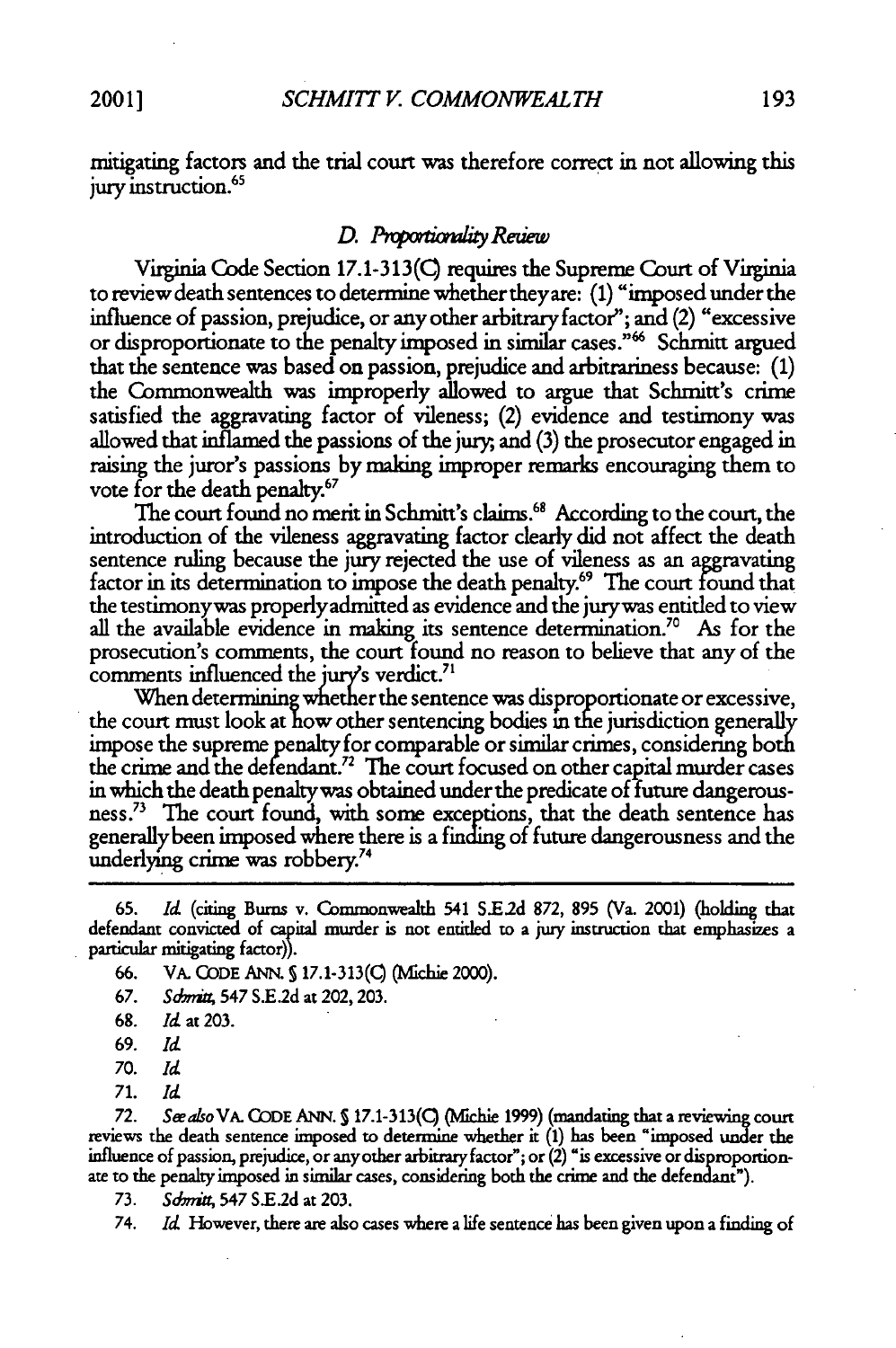mitigating factors and the trial court was therefore correct in not allowing this jury instruction.<sup>65</sup>

### *D. ThtmdaumitReuew*

Virginia Code Section 17.1-313(Q requires the Supreme Court of Virginia to review death sentences to determine whether theyare: (1) "imposed under the influence of passion, prejudice, or any other arbitrary factor"; and (2) "excessive or disproportionate to the penalty imposed in similar cases."<sup>66</sup> Schmitt argued that the sentence was based on passion, prejudice and arbitrariness because: (1) the Commonwealth was improperly allowed to argue that Schmitt's crime satisfied the aggravating factor of vileness; (2) evidence and testimony was allowed that inflamed the passions of the jury, and (3) the prosecutor engaged in raising the juror's passions by making improper remarks encouraging them to vote for the death penalty.<sup>67</sup>

The court found no merit in Schmitt's claims.<sup>68</sup> According to the court, the introduction of the vileness aggravating factor clearly did not affect the death sentence ruling because the jury rejected the use of vileness as an aggravating factor in its determination to impose the death penalty.<sup>69</sup> The court found that the testimonywas properlyadmitted as evidence and the jurywas entitled to view all the available evidence in making its sentence determination." As for the prosecution's comments, the court found no reason to believe that any of the comments influenced the jury's verdict.<sup>71</sup>

When determining whether the sentence was disproportionate or excessive, the court must look at how other sentencing bodies **in** the jurisdiction generally impose the supreme penalty for comparable or similar crimes, considering both the crime and the defendant.<sup>72</sup> The court focused on other capital murder cases **in** which the death penaltywas obtained under the predicate of future dangerousness.73 The court found, with some exceptions, that the death sentence has generally been imposed where there is a finding of future dangerousness and the underlying crime was robbery.<sup>74</sup>

**71.** *Id*

*72. SeeasoVA.* CODE ANN. **5 17.1-313(C)** (Mlchie 1999) (mandating that a reviewing court reviews the death sentence imposed to determine whether it (1) has been "imposed **under** the influence of passion, prejudice, or anyother arbitrary factor"; or (2) "is excessive or disproportionate to the penalty imposed in similar cases, considering both the crime and the defendant").

**73.** *Sdmi* 547 **S.E.2d** at 203.

74. *Id* However, there are also cases where a life sentence has been given upon a finding of

**<sup>65.</sup>** *Id* (citing Burns v. Commonwealth 541 **S.E2d 872, 895** (Va. 2001) (holding that defendant convicted **of** capital murder is not entitled to a jury instruction that emphasizes a particular mitigating factor)).

<sup>66.</sup> VA. CODE ANN. **S 17.1-313(Q** (Mfichie 2000).

<sup>67.</sup> *Sdmrk,* 547 S.E.2d at 202, 203.

<sup>68.</sup> Id at 203.

**<sup>69.</sup>** *Id*

**<sup>70.</sup>** *Id*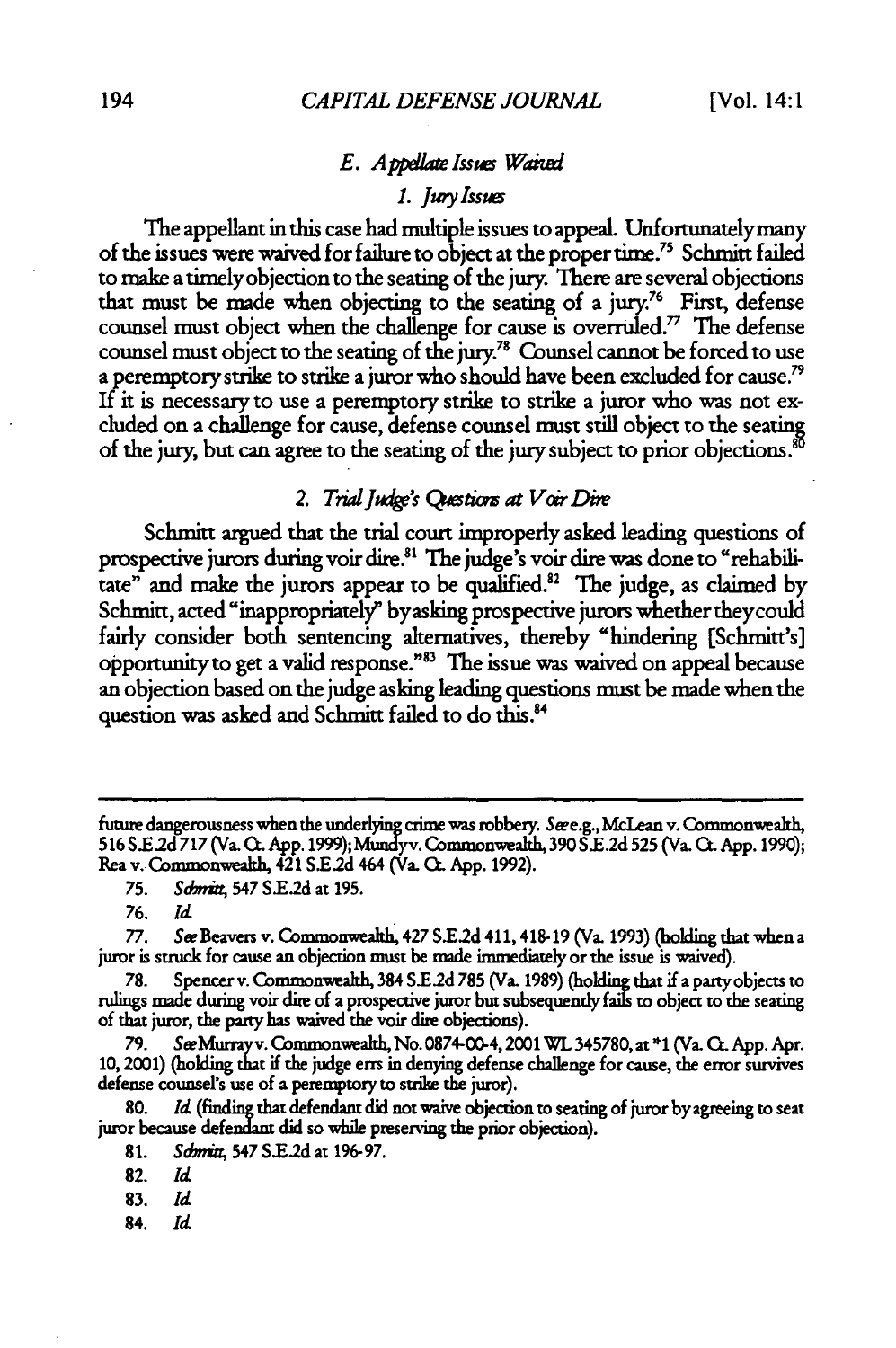# *E. Appellate Issues Waived*

# *1. Jury Issues*

The appellant in this case had multiple issues to appeaL Unfortunatelymany of the issues were waived for **failure** to object at the proper time. 5 Schmitt failed to make a timelyobjection to the seating of the jury. There are several objections that must be made when objecting to the seating of a jury.<sup>76</sup> First, defense counsel must object when the challenge for cause is overruled." The defense counsel must object to the seating of the jury.78 Counsel cannot be forced to use a peremptory strike to strike a juror who should have been excluded for cause.<sup>79</sup> If it is necessary to use a peremptory strike to strike a juror who was not excluded on a challenge for cause, defense counsel must still object to the seating of the jury, but can agree to the seating of the jury subject to prior objections.<sup>80</sup>

# 2. Trial Judge's Questions at Voir Dire

Schmitt argued that the trial court improperly asked leading questions of prospective jurors during voir dire."' The judge's voir dire was done to "rehabilitate" and make the jurors appear to be qualified.<sup>82</sup> The judge, as claimed by Schmitt, acted "inappropriately" byasking prospective jurors whether they could fairly consider both sentencing alternatives, thereby "hindering [Schmitt's] opportunity to get a valid response."<sup>83</sup> The issue was waived on appeal because an objection based on the judge asking leading questions must be made when the question was asked and Schmitt failed to do this.<sup>84</sup>

**76.** *Id*

**77.** See Beavers v. Commonwealh, 427 **S.E2d** 411, 418-19 (Va. **1993)** (holding that when a juror is struck for cause an objection must be made immediately or the issue is waived).

**78.** Spencer v. Commonwealth, 384 **S.E2d** 785 (Va. **1989)** (holding that if a partyobjects to rulings made during voir dire of a prospective juror but subsequently fails to object to the seating of that juror, the party has waived the voir dire objections).

**79.** SeeMurrayv. Commonwealth, No.0874-00-4,2001WL345780,at\* (Va. CtApp. Apr. **10,** 2001) (holding that if the judge errs in denying defense challenge for cause, the error survives defense counsel's use of a peremptory to strike the juror).

**80.** *Id* (finding that defendan did not waive objection to seating of juror **by** agreeing to seat juror because defendant did so while preserving the prior objection).

future dangerousness when the underlying crime was robbery. Seee.g., McLean v. Commonwealth, 516 **S.E2d** *717* **(Va. C. App. 1999);** Mundyv. Commonwealh, **390 S E.2d 525** (Va. at **App. 1990);** Rea v. Commonwealth, 421 **S.E.2d** 464 **(Va. G.** App. **1992).**

<sup>75.</sup> *Sdmitt*, 547 S.E.2d at 195.

<sup>81.</sup> *Sdmitt*, 547 S.E.2d at 196-97.

**<sup>82.</sup>** *Id*

**<sup>83.</sup>** *Id*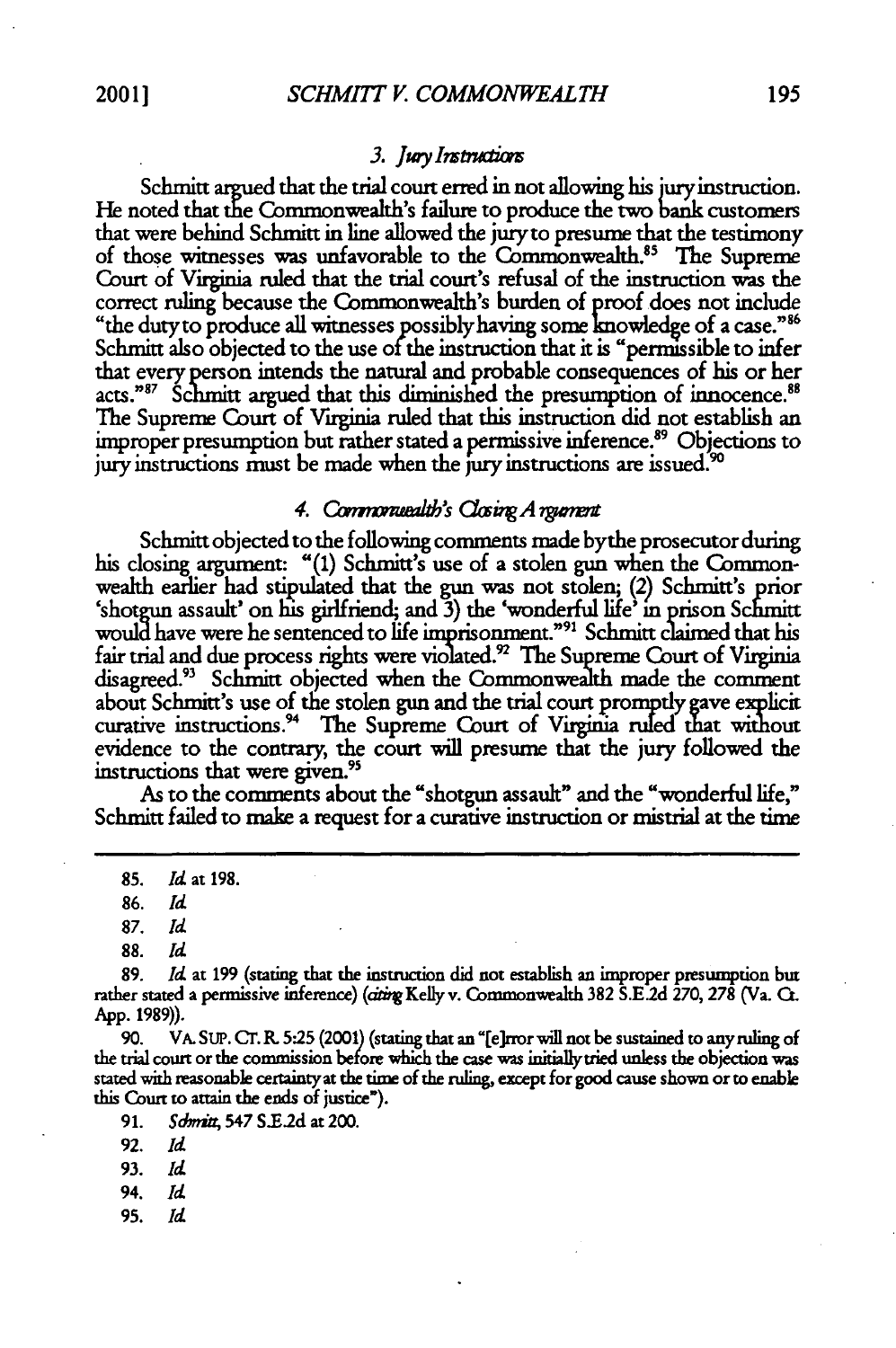#### *3. Jwykswctim*

Schmitt argued that the trial court erred in not allowing his jury instruction. He noted that the Commonwealth's failure to produce the two bank customers that were behind Schmitt in line allowed the jury to presume that the testimony of those witnesses was unfavorable to the Commonwealth.<sup>85</sup> The Supreme Court of Virginia ruled that the trial court's refusal of the instruction was the correct ruling because the Commonwealth's burden of proof does not include "the dutyto produce all witnesses possiblyhaving some knowledge of a case." <sup>6</sup> Schmitt also objected to the use of the instruction that it is "permissible to infer that every person intends the natural and probable consequences of his or her acts."<sup>87</sup> Schmitt argued that this diminished the presumption of innocence.<sup>88</sup> **The** Supreme Court of Virginia ruled that this instruction did not establish an improper presumption but rather stated a permissive inference.<sup>89</sup> Objections to jury instructions must be made when the jury instructions are issued.<sup>90</sup>

#### *4. Cawnz mab's CigA rWnent*

Schmitt objected to the following comments made bythe prosecutor during his closing argument: "(1) Schmitt's use of a stolen gun when the Commonwealth earlier had stipulated that the gun was not stolen; (2) Schmitt's prior 'shotgun assault' on his girlfriend; and 3) the 'wonderful life' in prison Schmitt would have were he sentenced to life imprisonment."<sup>91</sup> Schmitt claimed that his fair trial and due process rights were violated.<sup>92</sup> The Supreme Court of Virginia disagreed.<sup>93</sup> Schmitt objected when the Commonwealth made the comment about Schmitt's use of the stolen gun and the trial court promptly **gave** explicit curative instructions.<sup>94</sup> The Supreme Court of Virginia ruled that without evidence to the contrary, the court will presume that the jury followed the instructions that were given.<sup>95</sup>

As to the comments about the "shotgun assault" and the "wonderful life," Schmitt failed to make a request for a curative instruction or mistrial at the time

*87. Id*

90. VA. **SUP.** Cr. R **5.25** (2001) (stating that an "[e]rror will not be sustained to any ruling of the trial court or the commission before which the case was initiallytried unless the objection was stated with reasonable certaintyat the time of the ruling, except for good cause shown or to enable this Court **to** attain the ends of justice").

91. *Sbin* 547 **S.E2d** at 200.

92. *Id*

- 94. *Id*
- **95.** *Id*

**<sup>85.</sup>** *Id* at **198.**

**<sup>86.</sup>** *Id*

**<sup>88.</sup>** *Id*

**<sup>89.</sup>** *Id* at 199 (stating that the instruction did not establish an improper presumption but rather stated a permissive inference) (atugKelly v. Commonwealth **382** S.E.2d 270, **278** (Va. C. App. 1989)).